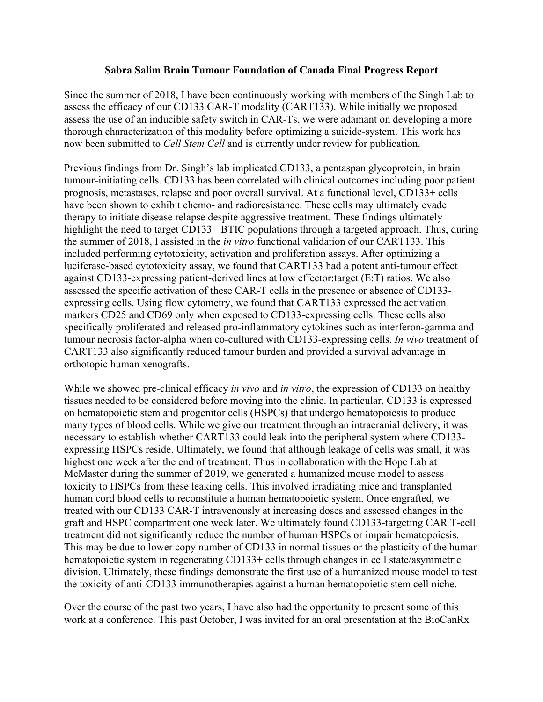## **Sabra Salim Brain Tumour Foundation of Canada Final Progress Report**

Since the summer of 2018, I have been continuously working with members of the Singh Lab to assess the efficacy of our CD133 CAR-T modality (CART133). While initially we proposed assess the use of an inducible safety switch in CAR-Ts, we were adamant on developing a more thorough characterization of this modality before optimizing a suicide-system. This work has now been submitted to *Cell Stem Cell* and is currently under review for publication.

Previous findings from Dr. Singh's lab implicated CD133, a pentaspan glycoprotein, in brain tumour-initiating cells. CD133 has been correlated with clinical outcomes including poor patient prognosis, metastases, relapse and poor overall survival. At a functional level, CD133+ cells have been shown to exhibit chemo- and radioresistance. These cells may ultimately evade therapy to initiate disease relapse despite aggressive treatment. These findings ultimately highlight the need to target CD133+ BTIC populations through a targeted approach. Thus, during the summer of 2018, I assisted in the *in vitro* functional validation of our CART133. This included performing cytotoxicity, activation and proliferation assays. After optimizing a luciferase-based cytotoxicity assay, we found that CART133 had a potent anti-tumour effect against CD133-expressing patient-derived lines at low effector:target (E:T) ratios. We also assessed the specific activation of these CAR-T cells in the presence or absence of CD133 expressing cells. Using flow cytometry, we found that CART133 expressed the activation markers CD25 and CD69 only when exposed to CD133-expressing cells. These cells also specifically proliferated and released pro-inflammatory cytokines such as interferon-gamma and tumour necrosis factor-alpha when co-cultured with CD133-expressing cells. *In vivo* treatment of CART133 also significantly reduced tumour burden and provided a survival advantage in orthotopic human xenografts.

While we showed pre-clinical efficacy *in vivo* and *in vitro*, the expression of CD133 on healthy tissues needed to be considered before moving into the clinic. In particular, CD133 is expressed on hematopoietic stem and progenitor cells (HSPCs) that undergo hematopoiesis to produce many types of blood cells. While we give our treatment through an intracranial delivery, it was necessary to establish whether CART133 could leak into the peripheral system where CD133 expressing HSPCs reside. Ultimately, we found that although leakage of cells was small, it was highest one week after the end of treatment. Thus in collaboration with the Hope Lab at McMaster during the summer of 2019, we generated a humanized mouse model to assess toxicity to HSPCs from these leaking cells. This involved irradiating mice and transplanted human cord blood cells to reconstitute a human hematopoietic system. Once engrafted, we treated with our CD133 CAR-T intravenously at increasing doses and assessed changes in the graft and HSPC compartment one week later. We ultimately found CD133-targeting CAR T-cell treatment did not significantly reduce the number of human HSPCs or impair hematopoiesis. This may be due to lower copy number of CD133 in normal tissues or the plasticity of the human hematopoietic system in regenerating CD133+ cells through changes in cell state/asymmetric division. Ultimately, these findings demonstrate the first use of a humanized mouse model to test the toxicity of anti-CD133 immunotherapies against a human hematopoietic stem cell niche.

Over the course of the past two years, I have also had the opportunity to present some of this work at a conference. This past October, I was invited for an oral presentation at the BioCanRx